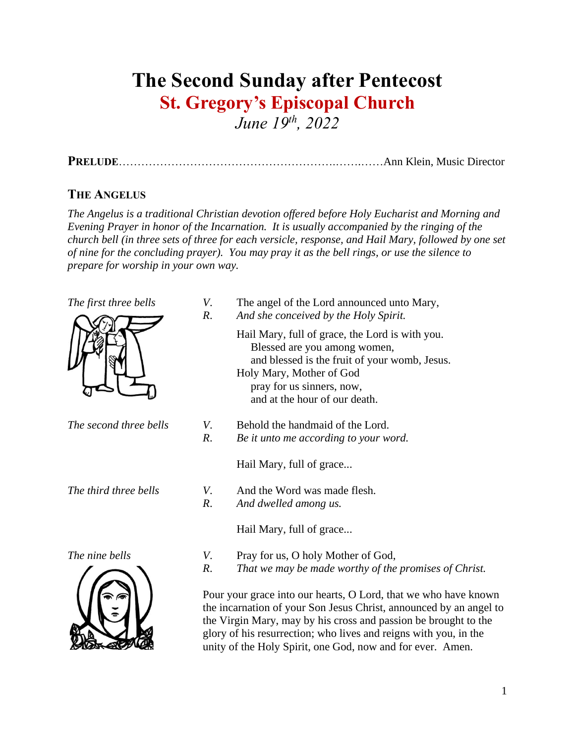# **The Second Sunday after Pentecost**

**St. Gregory's Episcopal Church**

*June 19 th , 2022*

**PRELUDE**………………………………………………….…….……Ann Klein, Music Director

# **THE ANGELUS**

*The Angelus is a traditional Christian devotion offered before Holy Eucharist and Morning and Evening Prayer in honor of the Incarnation. It is usually accompanied by the ringing of the church bell (in three sets of three for each versicle, response, and Hail Mary, followed by one set of nine for the concluding prayer). You may pray it as the bell rings, or use the silence to prepare for worship in your own way.*

| The first three bells  | V.<br>$R$ . | The angel of the Lord announced unto Mary,<br>And she conceived by the Holy Spirit.                                                                                                                                                                                                                                                        |
|------------------------|-------------|--------------------------------------------------------------------------------------------------------------------------------------------------------------------------------------------------------------------------------------------------------------------------------------------------------------------------------------------|
|                        |             | Hail Mary, full of grace, the Lord is with you.<br>Blessed are you among women,<br>and blessed is the fruit of your womb, Jesus.<br>Holy Mary, Mother of God<br>pray for us sinners, now,<br>and at the hour of our death.                                                                                                                 |
| The second three bells | V.          | Behold the handmaid of the Lord.                                                                                                                                                                                                                                                                                                           |
|                        | $R$ .       | Be it unto me according to your word.                                                                                                                                                                                                                                                                                                      |
|                        |             | Hail Mary, full of grace                                                                                                                                                                                                                                                                                                                   |
| The third three bells  | V.          | And the Word was made flesh.                                                                                                                                                                                                                                                                                                               |
|                        | $R$ .       | And dwelled among us.                                                                                                                                                                                                                                                                                                                      |
|                        |             | Hail Mary, full of grace                                                                                                                                                                                                                                                                                                                   |
| The nine bells         | V.          | Pray for us, O holy Mother of God,                                                                                                                                                                                                                                                                                                         |
|                        | $R$ .       | That we may be made worthy of the promises of Christ.                                                                                                                                                                                                                                                                                      |
|                        |             | Pour your grace into our hearts, O Lord, that we who have known<br>the incarnation of your Son Jesus Christ, announced by an angel to<br>the Virgin Mary, may by his cross and passion be brought to the<br>glory of his resurrection; who lives and reigns with you, in the<br>unity of the Holy Spirit, one God, now and for ever. Amen. |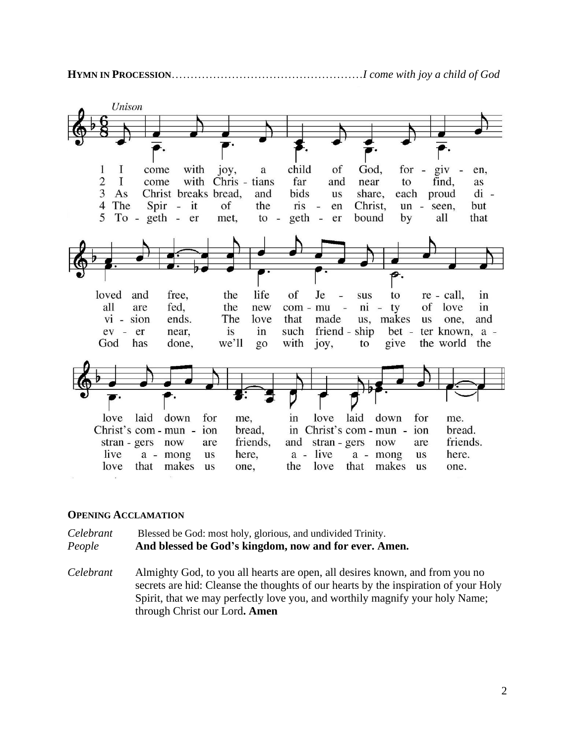

#### **OPENING ACCLAMATION**

*Celebrant* Blessed be God: most holy, glorious, and undivided Trinity. *People* **And blessed be God's kingdom, now and for ever. Amen.**

*Celebrant* Almighty God, to you all hearts are open, all desires known, and from you no secrets are hid: Cleanse the thoughts of our hearts by the inspiration of your Holy Spirit, that we may perfectly love you, and worthily magnify your holy Name; through Christ our Lord**. Amen**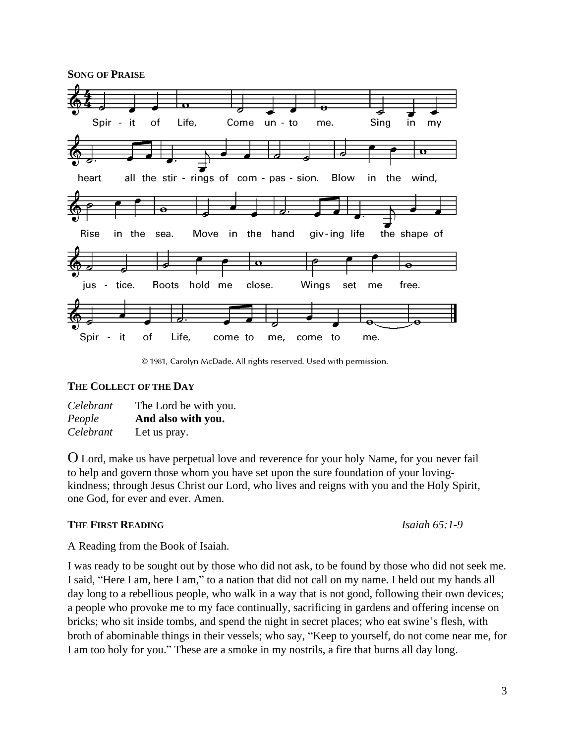

© 1981, Carolyn McDade. All rights reserved. Used with permission.

### **THE COLLECT OF THE DAY**

| Celebrant | The Lord be with you. |
|-----------|-----------------------|
| People    | And also with you.    |
| Celebrant | Let us pray.          |

O Lord, make us have perpetual love and reverence for your holy Name, for you never fail to help and govern those whom you have set upon the sure foundation of your lovingkindness; through Jesus Christ our Lord, who lives and reigns with you and the Holy Spirit, one God, for ever and ever. Amen.

### **THE FIRST READING** *Isaiah 65:1-9*

A Reading from the Book of Isaiah.

I was ready to be sought out by those who did not ask, to be found by those who did not seek me. I said, "Here I am, here I am," to a nation that did not call on my name. I held out my hands all day long to a rebellious people, who walk in a way that is not good, following their own devices; a people who provoke me to my face continually, sacrificing in gardens and offering incense on bricks; who sit inside tombs, and spend the night in secret places; who eat swine's flesh, with broth of abominable things in their vessels; who say, "Keep to yourself, do not come near me, for I am too holy for you." These are a smoke in my nostrils, a fire that burns all day long.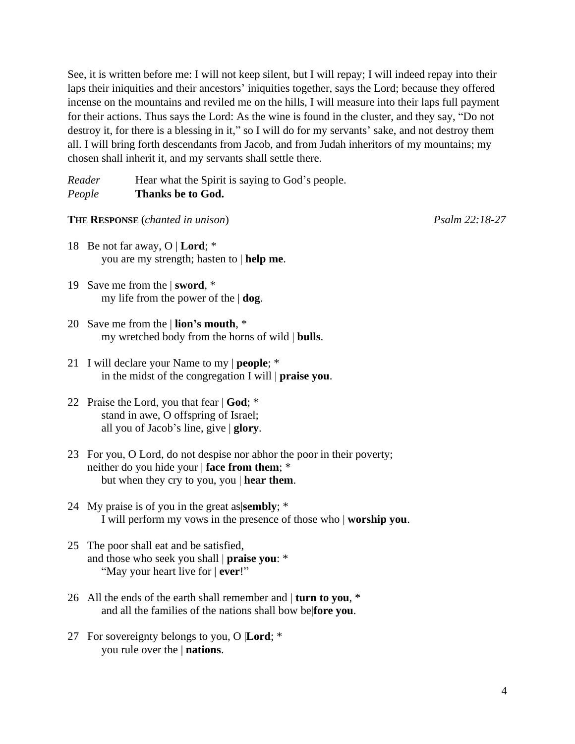See, it is written before me: I will not keep silent, but I will repay; I will indeed repay into their laps their iniquities and their ancestors' iniquities together, says the Lord; because they offered incense on the mountains and reviled me on the hills, I will measure into their laps full payment for their actions. Thus says the Lord: As the wine is found in the cluster, and they say, "Do not destroy it, for there is a blessing in it," so I will do for my servants' sake, and not destroy them all. I will bring forth descendants from Jacob, and from Judah inheritors of my mountains; my chosen shall inherit it, and my servants shall settle there.

*Reader* Hear what the Spirit is saying to God's people. *People* **Thanks be to God.**

#### **THE RESPONSE** (*chanted in unison*)*Psalm 22:18-27*

- 18 Be not far away, O | **Lord**; \* you are my strength; hasten to | **help me**.
- 19 Save me from the | **sword**, \* my life from the power of the | **dog**.
- 20 Save me from the | **lion's mouth**, \* my wretched body from the horns of wild | **bulls**.
- 21 I will declare your Name to my | **people**; \* in the midst of the congregation I will | **praise you**.
- 22 Praise the Lord, you that fear | **God**; \* stand in awe, O offspring of Israel; all you of Jacob's line, give | **glory**.
- 23 For you, O Lord, do not despise nor abhor the poor in their poverty; neither do you hide your | **face from them**; \* but when they cry to you, you | **hear them**.
- 24 My praise is of you in the great as|**sembly**; \* I will perform my vows in the presence of those who | **worship you**.
- 25 The poor shall eat and be satisfied, and those who seek you shall | **praise you**: \* "May your heart live for | **ever**!"
- 26 All the ends of the earth shall remember and | **turn to you**, \* and all the families of the nations shall bow be|**fore you**.
- 27 For sovereignty belongs to you, O |**Lord**; \* you rule over the | **nations**.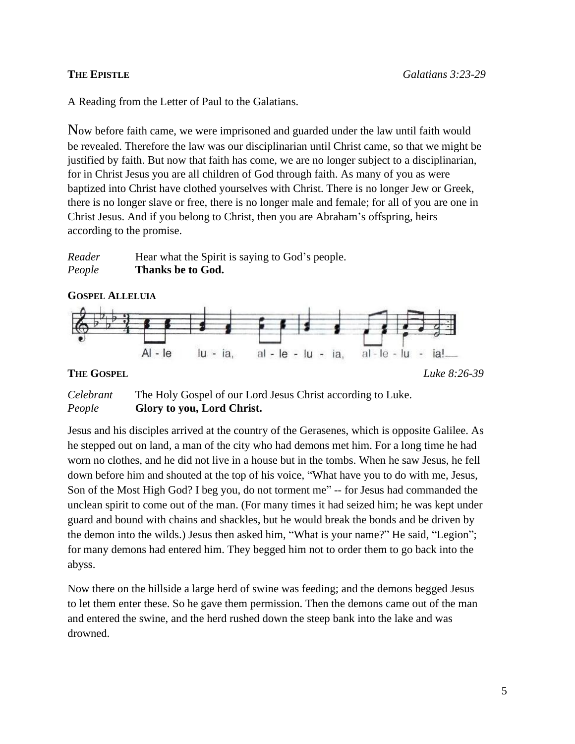A Reading from the Letter of Paul to the Galatians.

Now before faith came, we were imprisoned and guarded under the law until faith would be revealed. Therefore the law was our disciplinarian until Christ came, so that we might be justified by faith. But now that faith has come, we are no longer subject to a disciplinarian, for in Christ Jesus you are all children of God through faith. As many of you as were baptized into Christ have clothed yourselves with Christ. There is no longer Jew or Greek, there is no longer slave or free, there is no longer male and female; for all of you are one in Christ Jesus. And if you belong to Christ, then you are Abraham's offspring, heirs according to the promise.



### **GOSPEL ALLELUIA**



**THE GOSPEL** *Luke 8:26-39*

*Celebrant* The Holy Gospel of our Lord Jesus Christ according to Luke. *People* **Glory to you, Lord Christ.**

Jesus and his disciples arrived at the country of the Gerasenes, which is opposite Galilee. As he stepped out on land, a man of the city who had demons met him. For a long time he had worn no clothes, and he did not live in a house but in the tombs. When he saw Jesus, he fell down before him and shouted at the top of his voice, "What have you to do with me, Jesus, Son of the Most High God? I beg you, do not torment me" -- for Jesus had commanded the unclean spirit to come out of the man. (For many times it had seized him; he was kept under guard and bound with chains and shackles, but he would break the bonds and be driven by the demon into the wilds.) Jesus then asked him, "What is your name?" He said, "Legion"; for many demons had entered him. They begged him not to order them to go back into the abyss.

Now there on the hillside a large herd of swine was feeding; and the demons begged Jesus to let them enter these. So he gave them permission. Then the demons came out of the man and entered the swine, and the herd rushed down the steep bank into the lake and was drowned.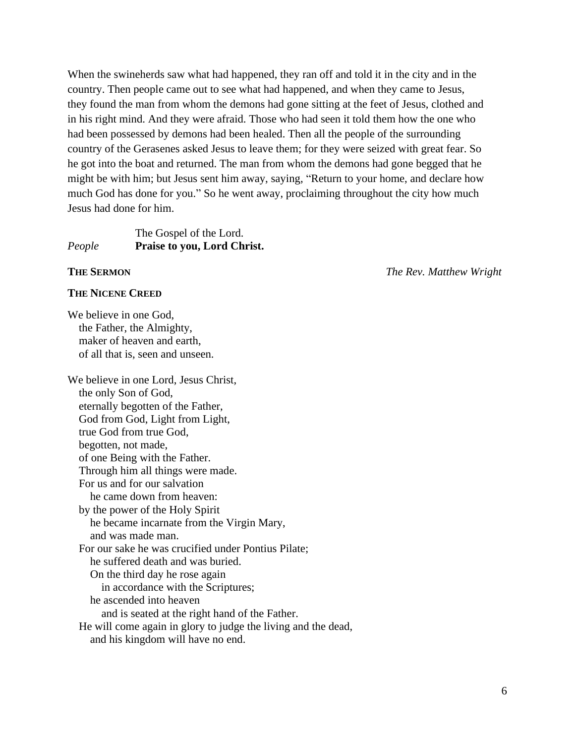When the swineherds saw what had happened, they ran off and told it in the city and in the country. Then people came out to see what had happened, and when they came to Jesus, they found the man from whom the demons had gone sitting at the feet of Jesus, clothed and in his right mind. And they were afraid. Those who had seen it told them how the one who had been possessed by demons had been healed. Then all the people of the surrounding country of the Gerasenes asked Jesus to leave them; for they were seized with great fear. So he got into the boat and returned. The man from whom the demons had gone begged that he might be with him; but Jesus sent him away, saying, "Return to your home, and declare how much God has done for you." So he went away, proclaiming throughout the city how much Jesus had done for him.

### The Gospel of the Lord. *People* **Praise to you, Lord Christ.**

**THE SERMON** *The Rev. Matthew Wright*

#### **THE NICENE CREED**

We believe in one God, the Father, the Almighty, maker of heaven and earth, of all that is, seen and unseen.

We believe in one Lord, Jesus Christ, the only Son of God, eternally begotten of the Father, God from God, Light from Light, true God from true God, begotten, not made, of one Being with the Father. Through him all things were made. For us and for our salvation he came down from heaven: by the power of the Holy Spirit he became incarnate from the Virgin Mary, and was made man. For our sake he was crucified under Pontius Pilate; he suffered death and was buried. On the third day he rose again in accordance with the Scriptures; he ascended into heaven and is seated at the right hand of the Father. He will come again in glory to judge the living and the dead, and his kingdom will have no end.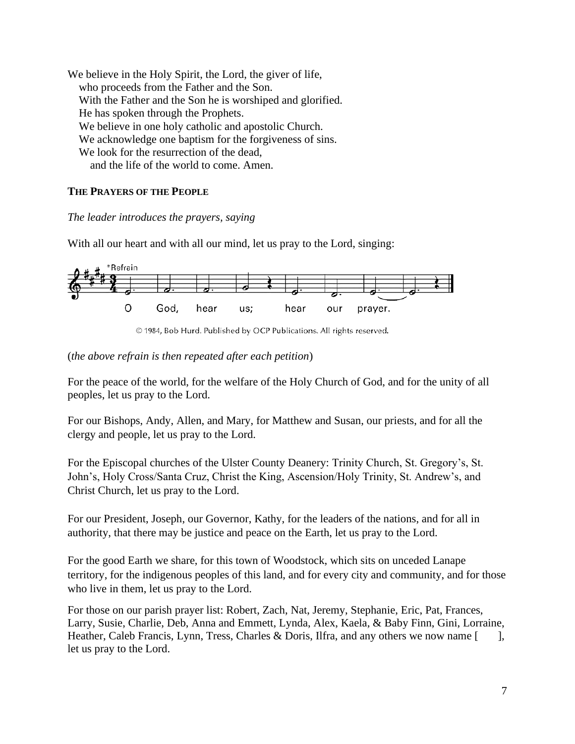We believe in the Holy Spirit, the Lord, the giver of life, who proceeds from the Father and the Son. With the Father and the Son he is worshiped and glorified. He has spoken through the Prophets. We believe in one holy catholic and apostolic Church. We acknowledge one baptism for the forgiveness of sins. We look for the resurrection of the dead. and the life of the world to come. Amen.

# **THE PRAYERS OF THE PEOPLE**

# *The leader introduces the prayers, saying*

With all our heart and with all our mind, let us pray to the Lord, singing:



© 1984, Bob Hurd. Published by OCP Publications. All rights reserved.

# (*the above refrain is then repeated after each petition*)

For the peace of the world, for the welfare of the Holy Church of God, and for the unity of all peoples, let us pray to the Lord.

For our Bishops, Andy, Allen, and Mary, for Matthew and Susan, our priests, and for all the clergy and people, let us pray to the Lord.

For the Episcopal churches of the Ulster County Deanery: Trinity Church, St. Gregory's, St. John's, Holy Cross/Santa Cruz, Christ the King, Ascension/Holy Trinity, St. Andrew's, and Christ Church, let us pray to the Lord.

For our President, Joseph, our Governor, Kathy, for the leaders of the nations, and for all in authority, that there may be justice and peace on the Earth, let us pray to the Lord.

For the good Earth we share, for this town of Woodstock, which sits on unceded Lanape territory, for the indigenous peoples of this land, and for every city and community, and for those who live in them, let us pray to the Lord.

For those on our parish prayer list: Robert, Zach, Nat, Jeremy, Stephanie, Eric, Pat, Frances, Larry, Susie, Charlie, Deb, Anna and Emmett, Lynda, Alex, Kaela, & Baby Finn, Gini, Lorraine, Heather, Caleb Francis, Lynn, Tress, Charles & Doris, Ilfra, and any others we now name [], let us pray to the Lord.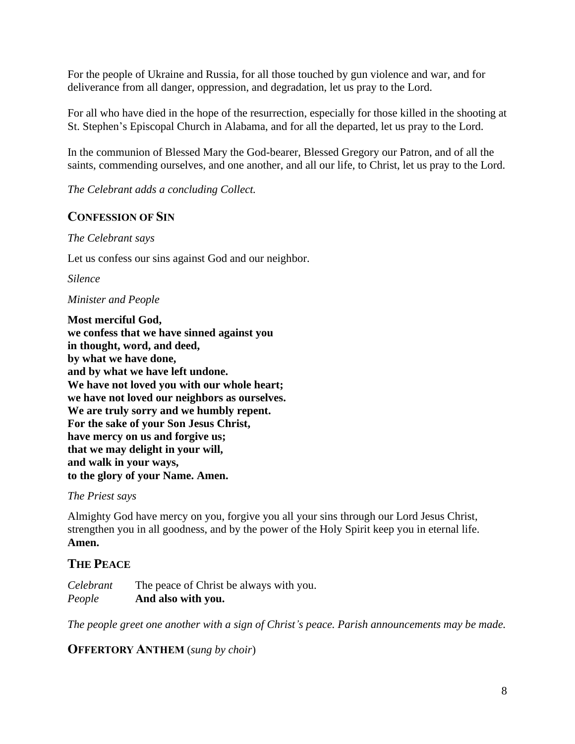For the people of Ukraine and Russia, for all those touched by gun violence and war, and for deliverance from all danger, oppression, and degradation, let us pray to the Lord.

For all who have died in the hope of the resurrection, especially for those killed in the shooting at St. Stephen's Episcopal Church in Alabama, and for all the departed, let us pray to the Lord.

In the communion of Blessed Mary the God-bearer, Blessed Gregory our Patron, and of all the saints, commending ourselves, and one another, and all our life, to Christ, let us pray to the Lord.

*The Celebrant adds a concluding Collect.* 

# **CONFESSION OF SIN**

*The Celebrant says*

Let us confess our sins against God and our neighbor.

*Silence*

*Minister and People*

**Most merciful God, we confess that we have sinned against you in thought, word, and deed, by what we have done, and by what we have left undone. We have not loved you with our whole heart; we have not loved our neighbors as ourselves. We are truly sorry and we humbly repent. For the sake of your Son Jesus Christ, have mercy on us and forgive us; that we may delight in your will, and walk in your ways, to the glory of your Name. Amen.**

### *The Priest says*

Almighty God have mercy on you, forgive you all your sins through our Lord Jesus Christ, strengthen you in all goodness, and by the power of the Holy Spirit keep you in eternal life. **Amen.**

# **THE PEACE**

*Celebrant* The peace of Christ be always with you. *People* **And also with you.**

*The people greet one another with a sign of Christ's peace. Parish announcements may be made.*

**OFFERTORY ANTHEM** (*sung by choir*)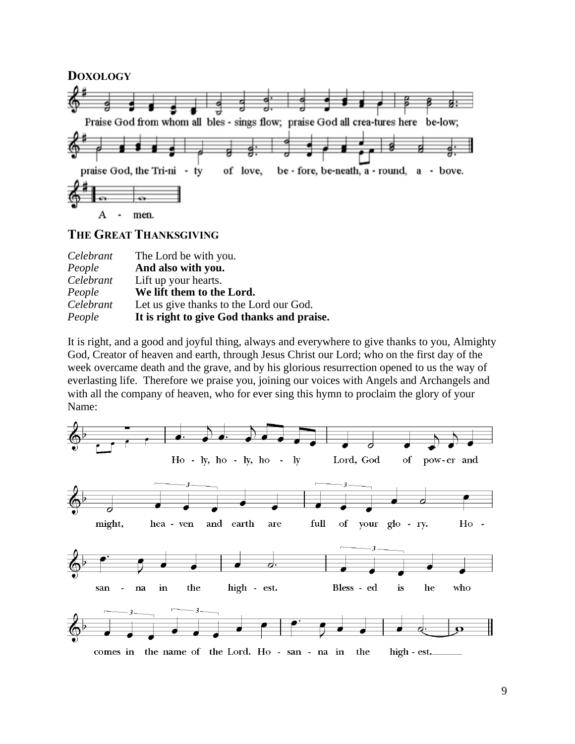

# **THE GREAT THANKSGIVING**

| Celebrant | The Lord be with you.                      |
|-----------|--------------------------------------------|
| People    | And also with you.                         |
| Celebrant | Lift up your hearts.                       |
| People    | We lift them to the Lord.                  |
| Celebrant | Let us give thanks to the Lord our God.    |
| People    | It is right to give God thanks and praise. |

It is right, and a good and joyful thing, always and everywhere to give thanks to you, Almighty God, Creator of heaven and earth, through Jesus Christ our Lord; who on the first day of the week overcame death and the grave, and by his glorious resurrection opened to us the way of everlasting life. Therefore we praise you, joining our voices with Angels and Archangels and with all the company of heaven, who for ever sing this hymn to proclaim the glory of your Name:

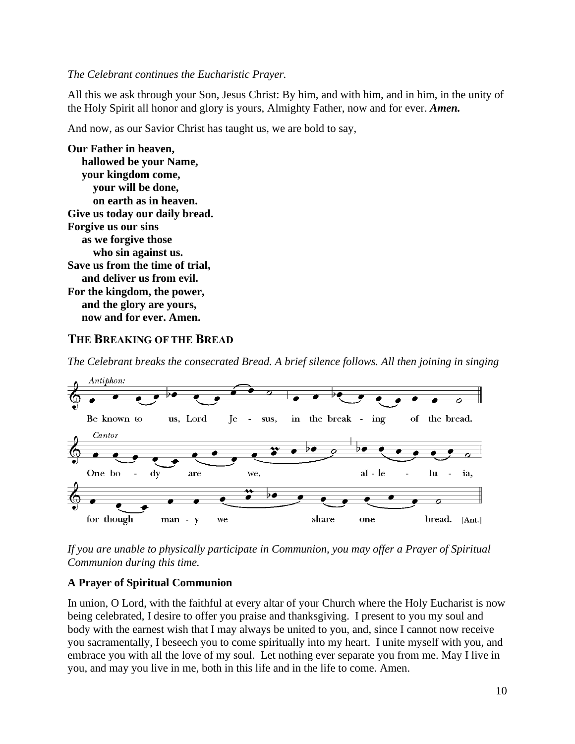*The Celebrant continues the Eucharistic Prayer.* 

All this we ask through your Son, Jesus Christ: By him, and with him, and in him, in the unity of the Holy Spirit all honor and glory is yours, Almighty Father, now and for ever. *Amen.*

And now, as our Savior Christ has taught us, we are bold to say,

**Our Father in heaven, hallowed be your Name, your kingdom come, your will be done, on earth as in heaven. Give us today our daily bread. Forgive us our sins as we forgive those who sin against us. Save us from the time of trial, and deliver us from evil. For the kingdom, the power, and the glory are yours, now and for ever. Amen.**

### **THE BREAKING OF THE BREAD**

*The Celebrant breaks the consecrated Bread. A brief silence follows. All then joining in singing*



*If you are unable to physically participate in Communion, you may offer a Prayer of Spiritual Communion during this time.*

# **A Prayer of Spiritual Communion**

In union, O Lord, with the faithful at every altar of your Church where the Holy Eucharist is now being celebrated, I desire to offer you praise and thanksgiving. I present to you my soul and body with the earnest wish that I may always be united to you, and, since I cannot now receive you sacramentally, I beseech you to come spiritually into my heart. I unite myself with you, and embrace you with all the love of my soul. Let nothing ever separate you from me. May I live in you, and may you live in me, both in this life and in the life to come. Amen.